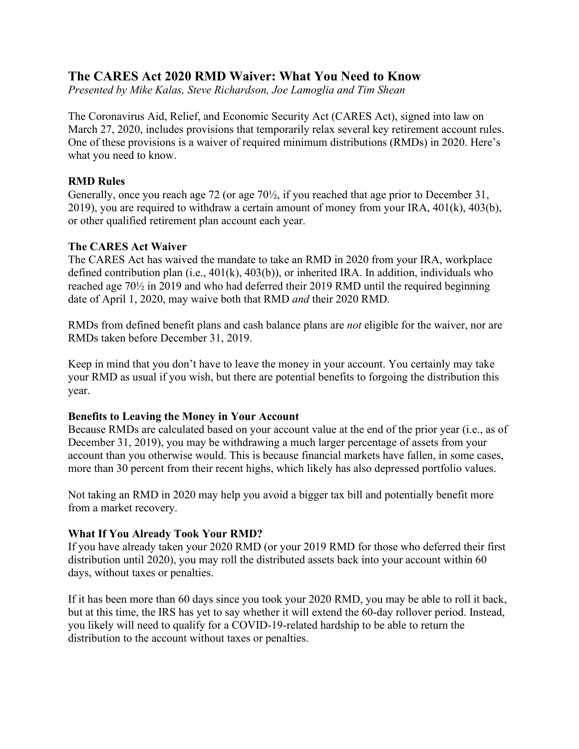# **The CARES Act 2020 RMD Waiver: What You Need to Know**

*Presented by Mike Kalas, Steve Richardson, Joe Lamoglia and Tim Shean*

The Coronavirus Aid, Relief, and Economic Security Act (CARES Act), signed into law on March 27, 2020, includes provisions that temporarily relax several key retirement account rules. One of these provisions is a waiver of required minimum distributions (RMDs) in 2020. Here's what you need to know.

### **RMD Rules**

Generally, once you reach age 72 (or age 70½, if you reached that age prior to December 31, 2019), you are required to withdraw a certain amount of money from your IRA, 401(k), 403(b), or other qualified retirement plan account each year.

### **The CARES Act Waiver**

The CARES Act has waived the mandate to take an RMD in 2020 from your IRA, workplace defined contribution plan (i.e., 401(k), 403(b)), or inherited IRA. In addition, individuals who reached age 70½ in 2019 and who had deferred their 2019 RMD until the required beginning date of April 1, 2020, may waive both that RMD *and* their 2020 RMD.

RMDs from defined benefit plans and cash balance plans are *not* eligible for the waiver, nor are RMDs taken before December 31, 2019.

Keep in mind that you don't have to leave the money in your account. You certainly may take your RMD as usual if you wish, but there are potential benefits to forgoing the distribution this year.

#### **Benefits to Leaving the Money in Your Account**

Because RMDs are calculated based on your account value at the end of the prior year (i.e., as of December 31, 2019), you may be withdrawing a much larger percentage of assets from your account than you otherwise would. This is because financial markets have fallen, in some cases, more than 30 percent from their recent highs, which likely has also depressed portfolio values.

Not taking an RMD in 2020 may help you avoid a bigger tax bill and potentially benefit more from a market recovery.

## **What If You Already Took Your RMD?**

If you have already taken your 2020 RMD (or your 2019 RMD for those who deferred their first distribution until 2020), you may roll the distributed assets back into your account within 60 days, without taxes or penalties.

If it has been more than 60 days since you took your 2020 RMD, you may be able to roll it back, but at this time, the IRS has yet to say whether it will extend the 60-day rollover period. Instead, you likely will need to qualify for a COVID-19-related hardship to be able to return the distribution to the account without taxes or penalties.